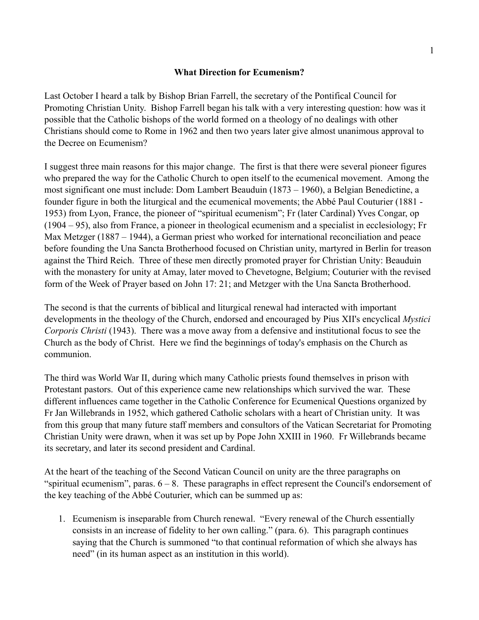## **What Direction for Ecumenism?**

Last October I heard a talk by Bishop Brian Farrell, the secretary of the Pontifical Council for Promoting Christian Unity. Bishop Farrell began his talk with a very interesting question: how was it possible that the Catholic bishops of the world formed on a theology of no dealings with other Christians should come to Rome in 1962 and then two years later give almost unanimous approval to the Decree on Ecumenism?

I suggest three main reasons for this major change. The first is that there were several pioneer figures who prepared the way for the Catholic Church to open itself to the ecumenical movement. Among the most significant one must include: Dom Lambert Beauduin (1873 – 1960), a Belgian Benedictine, a founder figure in both the liturgical and the ecumenical movements; the Abbé Paul Couturier (1881 - 1953) from Lyon, France, the pioneer of "spiritual ecumenism"; Fr (later Cardinal) Yves Congar, op (1904 – 95), also from France, a pioneer in theological ecumenism and a specialist in ecclesiology; Fr Max Metzger (1887 – 1944), a German priest who worked for international reconciliation and peace before founding the Una Sancta Brotherhood focused on Christian unity, martyred in Berlin for treason against the Third Reich. Three of these men directly promoted prayer for Christian Unity: Beauduin with the monastery for unity at Amay, later moved to Chevetogne, Belgium; Couturier with the revised form of the Week of Prayer based on John 17: 21; and Metzger with the Una Sancta Brotherhood.

The second is that the currents of biblical and liturgical renewal had interacted with important developments in the theology of the Church, endorsed and encouraged by Pius XII's encyclical *Mystici Corporis Christi* (1943). There was a move away from a defensive and institutional focus to see the Church as the body of Christ. Here we find the beginnings of today's emphasis on the Church as communion.

The third was World War II, during which many Catholic priests found themselves in prison with Protestant pastors. Out of this experience came new relationships which survived the war. These different influences came together in the Catholic Conference for Ecumenical Questions organized by Fr Jan Willebrands in 1952, which gathered Catholic scholars with a heart of Christian unity. It was from this group that many future staff members and consultors of the Vatican Secretariat for Promoting Christian Unity were drawn, when it was set up by Pope John XXIII in 1960. Fr Willebrands became its secretary, and later its second president and Cardinal.

At the heart of the teaching of the Second Vatican Council on unity are the three paragraphs on "spiritual ecumenism", paras.  $6 - 8$ . These paragraphs in effect represent the Council's endorsement of the key teaching of the Abbé Couturier, which can be summed up as:

1. Ecumenism is inseparable from Church renewal. "Every renewal of the Church essentially consists in an increase of fidelity to her own calling." (para. 6). This paragraph continues saying that the Church is summoned "to that continual reformation of which she always has need" (in its human aspect as an institution in this world).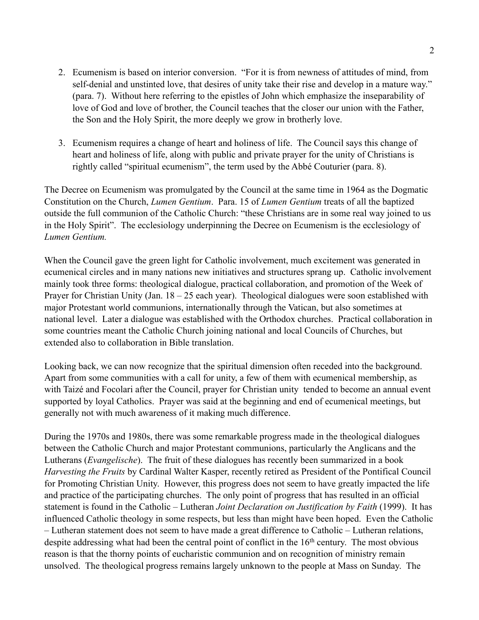- 2. Ecumenism is based on interior conversion. "For it is from newness of attitudes of mind, from self-denial and unstinted love, that desires of unity take their rise and develop in a mature way." (para. 7). Without here referring to the epistles of John which emphasize the inseparability of love of God and love of brother, the Council teaches that the closer our union with the Father, the Son and the Holy Spirit, the more deeply we grow in brotherly love.
- 3. Ecumenism requires a change of heart and holiness of life. The Council says this change of heart and holiness of life, along with public and private prayer for the unity of Christians is rightly called "spiritual ecumenism", the term used by the Abbé Couturier (para. 8).

The Decree on Ecumenism was promulgated by the Council at the same time in 1964 as the Dogmatic Constitution on the Church, *Lumen Gentium*. Para. 15 of *Lumen Gentium* treats of all the baptized outside the full communion of the Catholic Church: "these Christians are in some real way joined to us in the Holy Spirit". The ecclesiology underpinning the Decree on Ecumenism is the ecclesiology of *Lumen Gentium.*

When the Council gave the green light for Catholic involvement, much excitement was generated in ecumenical circles and in many nations new initiatives and structures sprang up. Catholic involvement mainly took three forms: theological dialogue, practical collaboration, and promotion of the Week of Prayer for Christian Unity (Jan. 18 – 25 each year). Theological dialogues were soon established with major Protestant world communions, internationally through the Vatican, but also sometimes at national level. Later a dialogue was established with the Orthodox churches. Practical collaboration in some countries meant the Catholic Church joining national and local Councils of Churches, but extended also to collaboration in Bible translation.

Looking back, we can now recognize that the spiritual dimension often receded into the background. Apart from some communities with a call for unity, a few of them with ecumenical membership, as with Taizé and Focolari after the Council, prayer for Christian unity tended to become an annual event supported by loyal Catholics. Prayer was said at the beginning and end of ecumenical meetings, but generally not with much awareness of it making much difference.

During the 1970s and 1980s, there was some remarkable progress made in the theological dialogues between the Catholic Church and major Protestant communions, particularly the Anglicans and the Lutherans (*Evangelische*). The fruit of these dialogues has recently been summarized in a book *Harvesting the Fruits* by Cardinal Walter Kasper, recently retired as President of the Pontifical Council for Promoting Christian Unity. However, this progress does not seem to have greatly impacted the life and practice of the participating churches. The only point of progress that has resulted in an official statement is found in the Catholic – Lutheran *Joint Declaration on Justification by Faith* (1999). It has influenced Catholic theology in some respects, but less than might have been hoped. Even the Catholic – Lutheran statement does not seem to have made a great difference to Catholic – Lutheran relations, despite addressing what had been the central point of conflict in the 16<sup>th</sup> century. The most obvious reason is that the thorny points of eucharistic communion and on recognition of ministry remain unsolved. The theological progress remains largely unknown to the people at Mass on Sunday. The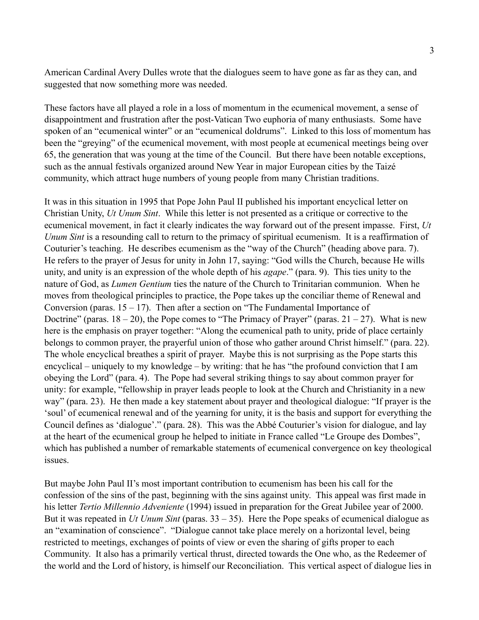American Cardinal Avery Dulles wrote that the dialogues seem to have gone as far as they can, and suggested that now something more was needed.

These factors have all played a role in a loss of momentum in the ecumenical movement, a sense of disappointment and frustration after the post-Vatican Two euphoria of many enthusiasts. Some have spoken of an "ecumenical winter" or an "ecumenical doldrums". Linked to this loss of momentum has been the "greying" of the ecumenical movement, with most people at ecumenical meetings being over 65, the generation that was young at the time of the Council. But there have been notable exceptions, such as the annual festivals organized around New Year in major European cities by the Taizé community, which attract huge numbers of young people from many Christian traditions.

It was in this situation in 1995 that Pope John Paul II published his important encyclical letter on Christian Unity, *Ut Unum Sint*. While this letter is not presented as a critique or corrective to the ecumenical movement, in fact it clearly indicates the way forward out of the present impasse. First, *Ut Unum Sint* is a resounding call to return to the primacy of spiritual ecumenism. It is a reaffirmation of Couturier's teaching. He describes ecumenism as the "way of the Church" (heading above para. 7). He refers to the prayer of Jesus for unity in John 17, saying: "God wills the Church, because He wills unity, and unity is an expression of the whole depth of his *agape*." (para. 9). This ties unity to the nature of God, as *Lumen Gentium* ties the nature of the Church to Trinitarian communion. When he moves from theological principles to practice, the Pope takes up the conciliar theme of Renewal and Conversion (paras.  $15 - 17$ ). Then after a section on "The Fundamental Importance of Doctrine" (paras.  $18 - 20$ ), the Pope comes to "The Primacy of Prayer" (paras.  $21 - 27$ ). What is new here is the emphasis on prayer together: "Along the ecumenical path to unity, pride of place certainly belongs to common prayer, the prayerful union of those who gather around Christ himself." (para. 22). The whole encyclical breathes a spirit of prayer. Maybe this is not surprising as the Pope starts this encyclical – uniquely to my knowledge – by writing: that he has "the profound conviction that I am obeying the Lord" (para. 4). The Pope had several striking things to say about common prayer for unity: for example, "fellowship in prayer leads people to look at the Church and Christianity in a new way" (para. 23). He then made a key statement about prayer and theological dialogue: "If prayer is the 'soul' of ecumenical renewal and of the yearning for unity, it is the basis and support for everything the Council defines as 'dialogue'." (para. 28). This was the Abbé Couturier's vision for dialogue, and lay at the heart of the ecumenical group he helped to initiate in France called "Le Groupe des Dombes", which has published a number of remarkable statements of ecumenical convergence on key theological issues.

But maybe John Paul II's most important contribution to ecumenism has been his call for the confession of the sins of the past, beginning with the sins against unity. This appeal was first made in his letter *Tertio Millennio Adveniente* (1994) issued in preparation for the Great Jubilee year of 2000. But it was repeated in *Ut Unum Sint* (paras. 33 – 35). Here the Pope speaks of ecumenical dialogue as an "examination of conscience". "Dialogue cannot take place merely on a horizontal level, being restricted to meetings, exchanges of points of view or even the sharing of gifts proper to each Community. It also has a primarily vertical thrust, directed towards the One who, as the Redeemer of the world and the Lord of history, is himself our Reconciliation. This vertical aspect of dialogue lies in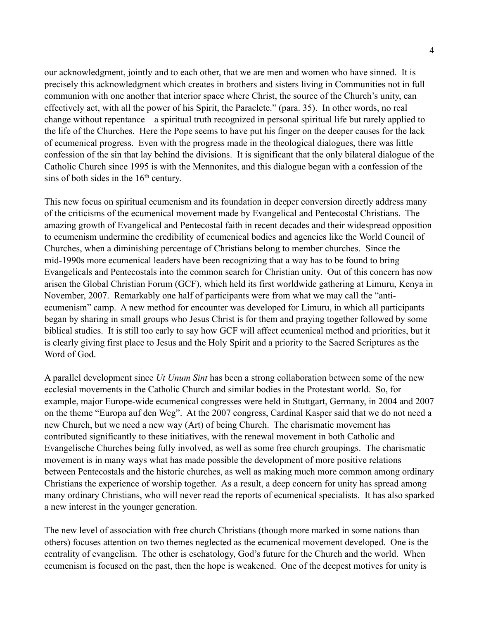our acknowledgment, jointly and to each other, that we are men and women who have sinned. It is precisely this acknowledgment which creates in brothers and sisters living in Communities not in full communion with one another that interior space where Christ, the source of the Church's unity, can effectively act, with all the power of his Spirit, the Paraclete." (para. 35). In other words, no real change without repentance – a spiritual truth recognized in personal spiritual life but rarely applied to the life of the Churches. Here the Pope seems to have put his finger on the deeper causes for the lack of ecumenical progress. Even with the progress made in the theological dialogues, there was little confession of the sin that lay behind the divisions. It is significant that the only bilateral dialogue of the Catholic Church since 1995 is with the Mennonites, and this dialogue began with a confession of the sins of both sides in the 16<sup>th</sup> century.

This new focus on spiritual ecumenism and its foundation in deeper conversion directly address many of the criticisms of the ecumenical movement made by Evangelical and Pentecostal Christians. The amazing growth of Evangelical and Pentecostal faith in recent decades and their widespread opposition to ecumenism undermine the credibility of ecumenical bodies and agencies like the World Council of Churches, when a diminishing percentage of Christians belong to member churches. Since the mid-1990s more ecumenical leaders have been recognizing that a way has to be found to bring Evangelicals and Pentecostals into the common search for Christian unity. Out of this concern has now arisen the Global Christian Forum (GCF), which held its first worldwide gathering at Limuru, Kenya in November, 2007. Remarkably one half of participants were from what we may call the "antiecumenism" camp. A new method for encounter was developed for Limuru, in which all participants began by sharing in small groups who Jesus Christ is for them and praying together followed by some biblical studies. It is still too early to say how GCF will affect ecumenical method and priorities, but it is clearly giving first place to Jesus and the Holy Spirit and a priority to the Sacred Scriptures as the Word of God.

A parallel development since *Ut Unum Sint* has been a strong collaboration between some of the new ecclesial movements in the Catholic Church and similar bodies in the Protestant world. So, for example, major Europe-wide ecumenical congresses were held in Stuttgart, Germany, in 2004 and 2007 on the theme "Europa auf den Weg". At the 2007 congress, Cardinal Kasper said that we do not need a new Church, but we need a new way (Art) of being Church. The charismatic movement has contributed significantly to these initiatives, with the renewal movement in both Catholic and Evangelische Churches being fully involved, as well as some free church groupings. The charismatic movement is in many ways what has made possible the development of more positive relations between Pentecostals and the historic churches, as well as making much more common among ordinary Christians the experience of worship together. As a result, a deep concern for unity has spread among many ordinary Christians, who will never read the reports of ecumenical specialists. It has also sparked a new interest in the younger generation.

The new level of association with free church Christians (though more marked in some nations than others) focuses attention on two themes neglected as the ecumenical movement developed. One is the centrality of evangelism. The other is eschatology, God's future for the Church and the world. When ecumenism is focused on the past, then the hope is weakened. One of the deepest motives for unity is